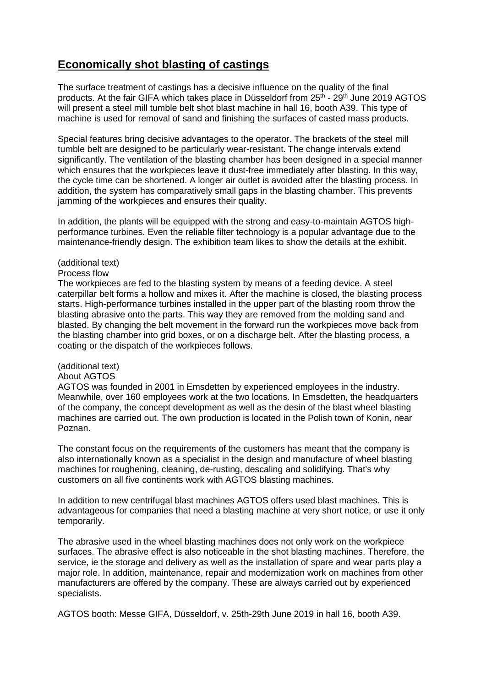# **Economically shot blasting of castings**

The surface treatment of castings has a decisive influence on the quality of the final products. At the fair GIFA which takes place in Düsseldorf from 25<sup>th</sup> - 29<sup>th</sup> June 2019 AGTOS will present a steel mill tumble belt shot blast machine in hall 16, booth A39. This type of machine is used for removal of sand and finishing the surfaces of casted mass products.

Special features bring decisive advantages to the operator. The brackets of the steel mill tumble belt are designed to be particularly wear-resistant. The change intervals extend significantly. The ventilation of the blasting chamber has been designed in a special manner which ensures that the workpieces leave it dust-free immediately after blasting. In this way, the cycle time can be shortened. A longer air outlet is avoided after the blasting process. In addition, the system has comparatively small gaps in the blasting chamber. This prevents jamming of the workpieces and ensures their quality.

In addition, the plants will be equipped with the strong and easy-to-maintain AGTOS highperformance turbines. Even the reliable filter technology is a popular advantage due to the maintenance-friendly design. The exhibition team likes to show the details at the exhibit.

### (additional text)

#### Process flow

The workpieces are fed to the blasting system by means of a feeding device. A steel caterpillar belt forms a hollow and mixes it. After the machine is closed, the blasting process starts. High-performance turbines installed in the upper part of the blasting room throw the blasting abrasive onto the parts. This way they are removed from the molding sand and blasted. By changing the belt movement in the forward run the workpieces move back from the blasting chamber into grid boxes, or on a discharge belt. After the blasting process, a coating or the dispatch of the workpieces follows.

## (additional text)

#### About AGTOS

AGTOS was founded in 2001 in Emsdetten by experienced employees in the industry. Meanwhile, over 160 employees work at the two locations. In Emsdetten, the headquarters of the company, the concept development as well as the desin of the blast wheel blasting machines are carried out. The own production is located in the Polish town of Konin, near Poznan.

The constant focus on the requirements of the customers has meant that the company is also internationally known as a specialist in the design and manufacture of wheel blasting machines for roughening, cleaning, de-rusting, descaling and solidifying. That's why customers on all five continents work with AGTOS blasting machines.

In addition to new centrifugal blast machines AGTOS offers used blast machines. This is advantageous for companies that need a blasting machine at very short notice, or use it only temporarily.

The abrasive used in the wheel blasting machines does not only work on the workpiece surfaces. The abrasive effect is also noticeable in the shot blasting machines. Therefore, the service, ie the storage and delivery as well as the installation of spare and wear parts play a major role. In addition, maintenance, repair and modernization work on machines from other manufacturers are offered by the company. These are always carried out by experienced specialists.

AGTOS booth: Messe GIFA, Düsseldorf, v. 25th-29th June 2019 in hall 16, booth A39.